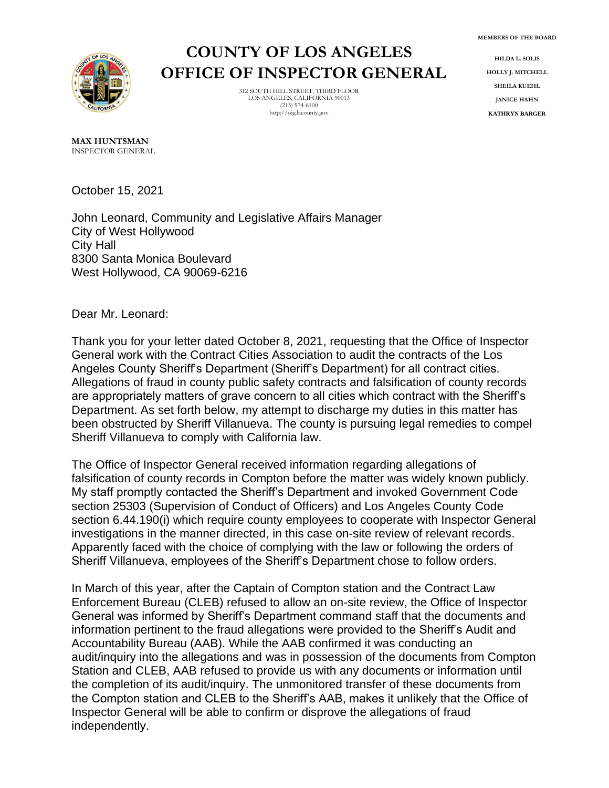**MEMBERS OF THE BOARD**



## **COUNTY OF LOS ANGELES OFFICE OF INSPECTOR GENERAL**

312 SOUTH HILL STREET, THIRD FLOOR LOS ANGELES, CALIFORNIA 90013  $(213)$  974-6100 http://oig.lacounty.gov

**HILDA L. SOLIS HOLLY J. MITCHELL SHEILA KUEHL JANICE HAHN KATHRYN BARGER**

**MAX HUNTSMAN** INSPECTOR GENERAL

October 15, 2021

John Leonard, Community and Legislative Affairs Manager City of West Hollywood City Hall 8300 Santa Monica Boulevard West Hollywood, CA 90069-6216

Dear Mr. Leonard:

Thank you for your letter dated October 8, 2021, requesting that the Office of Inspector General work with the Contract Cities Association to audit the contracts of the Los Angeles County Sheriff's Department (Sheriff's Department) for all contract cities. Allegations of fraud in county public safety contracts and falsification of county records are appropriately matters of grave concern to all cities which contract with the Sheriff's Department. As set forth below, my attempt to discharge my duties in this matter has been obstructed by Sheriff Villanueva. The county is pursuing legal remedies to compel Sheriff Villanueva to comply with California law.

The Office of Inspector General received information regarding allegations of falsification of county records in Compton before the matter was widely known publicly. My staff promptly contacted the Sheriff's Department and invoked Government Code section 25303 (Supervision of Conduct of Officers) and Los Angeles County Code section 6.44.190(i) which require county employees to cooperate with Inspector General investigations in the manner directed, in this case on-site review of relevant records. Apparently faced with the choice of complying with the law or following the orders of Sheriff Villanueva, employees of the Sheriff's Department chose to follow orders.

In March of this year, after the Captain of Compton station and the Contract Law Enforcement Bureau (CLEB) refused to allow an on-site review, the Office of Inspector General was informed by Sheriff's Department command staff that the documents and information pertinent to the fraud allegations were provided to the Sheriff's Audit and Accountability Bureau (AAB). While the AAB confirmed it was conducting an audit/inquiry into the allegations and was in possession of the documents from Compton Station and CLEB, AAB refused to provide us with any documents or information until the completion of its audit/inquiry. The unmonitored transfer of these documents from the Compton station and CLEB to the Sheriff's AAB, makes it unlikely that the Office of Inspector General will be able to confirm or disprove the allegations of fraud independently.